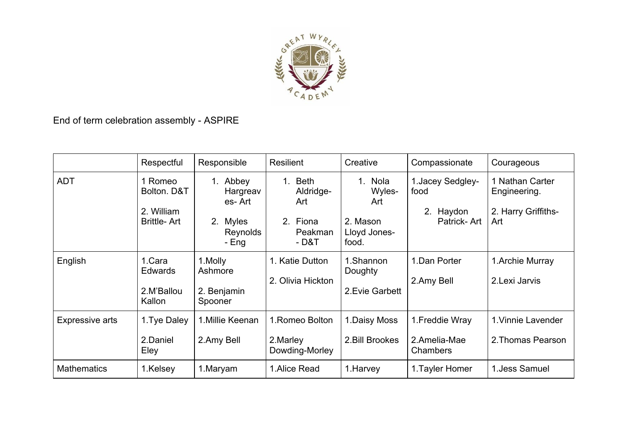

End of term celebration assembly - ASPIRE

|                        | Respectful                                               | Responsible                                                                       | Resilient                                                           | Creative                                                                     | Compassionate                                         | Courageous                                                    |
|------------------------|----------------------------------------------------------|-----------------------------------------------------------------------------------|---------------------------------------------------------------------|------------------------------------------------------------------------------|-------------------------------------------------------|---------------------------------------------------------------|
| <b>ADT</b>             | Romeo<br>Bolton. D&T<br>2. William<br><b>Brittle-Art</b> | Abbey<br>$1_{-}$<br>Hargreav<br>es-Art<br><b>Myles</b><br>2.<br>Reynolds<br>- Eng | Beth<br>$1_{-}$<br>Aldridge-<br>Art<br>2. Fiona<br>Peakman<br>- D&T | <b>Nola</b><br>$1_{-}$<br>Wyles-<br>Art<br>2. Mason<br>Lloyd Jones-<br>food. | 1. Jacey Sedgley-<br>food<br>2. Haydon<br>Patrick-Art | 1 Nathan Carter<br>Engineering.<br>2. Harry Griffiths-<br>Art |
| English                | 1.Cara<br><b>Edwards</b><br>2.M'Ballou<br>Kallon         | 1.Molly<br>Ashmore<br>2. Benjamin<br>Spooner                                      | 1. Katie Dutton<br>2. Olivia Hickton                                | 1.Shannon<br>Doughty<br>2. Evie Garbett                                      | 1.Dan Porter<br>2.Amy Bell                            | 1. Archie Murray<br>2.Lexi Jarvis                             |
| <b>Expressive arts</b> | 1. Tye Daley<br>2.Daniel<br>Eley                         | 1. Millie Keenan<br>2.Amy Bell                                                    | 1. Romeo Bolton<br>2. Marley<br>Dowding-Morley                      | 1. Daisy Moss<br>2. Bill Brookes                                             | 1. Freddie Wray<br>2.Amelia-Mae<br>Chambers           | 1. Vinnie Lavender<br>2. Thomas Pearson                       |
| <b>Mathematics</b>     | 1.Kelsey                                                 | 1.Maryam                                                                          | 1. Alice Read                                                       | 1. Harvey                                                                    | 1. Tayler Homer                                       | 1. Jess Samuel                                                |